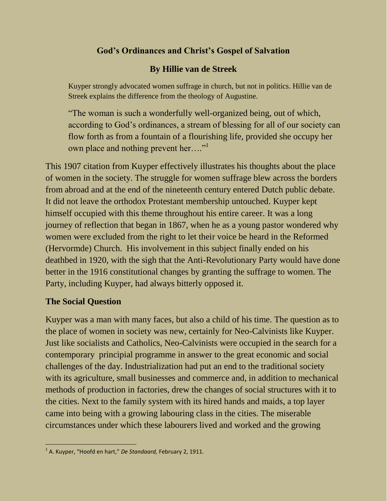# **God's Ordinances and Christ's Gospel of Salvation**

# **By Hillie van de Streek**

Kuyper strongly advocated women suffrage in church, but not in politics. Hillie van de Streek explains the difference from the theology of Augustine.

"The woman is such a wonderfully well-organized being, out of which, according to God's ordinances, a stream of blessing for all of our society can flow forth as from a fountain of a flourishing life, provided she occupy her own place and nothing prevent her...."<sup>1</sup>

This 1907 citation from Kuyper effectively illustrates his thoughts about the place of women in the society. The struggle for women suffrage blew across the borders from abroad and at the end of the nineteenth century entered Dutch public debate. It did not leave the orthodox Protestant membership untouched. Kuyper kept himself occupied with this theme throughout his entire career. It was a long journey of reflection that began in 1867, when he as a young pastor wondered why women were excluded from the right to let their voice be heard in the Reformed (Hervormde) Church. His involvement in this subject finally ended on his deathbed in 1920, with the sigh that the Anti-Revolutionary Party would have done better in the 1916 constitutional changes by granting the suffrage to women. The Party, including Kuyper, had always bitterly opposed it.

### **The Social Question**

Kuyper was a man with many faces, but also a child of his time. The question as to the place of women in society was new, certainly for Neo-Calvinists like Kuyper. Just like socialists and Catholics, Neo-Calvinists were occupied in the search for a contemporary principial programme in answer to the great economic and social challenges of the day. Industrialization had put an end to the traditional society with its agriculture, small businesses and commerce and, in addition to mechanical methods of production in factories, drew the changes of social structures with it to the cities. Next to the family system with its hired hands and maids, a top layer came into being with a growing labouring class in the cities. The miserable circumstances under which these labourers lived and worked and the growing

 $\overline{a}$ 1 A. Kuyper, "Hoofd en hart," *De Standaard,* February 2, 1911.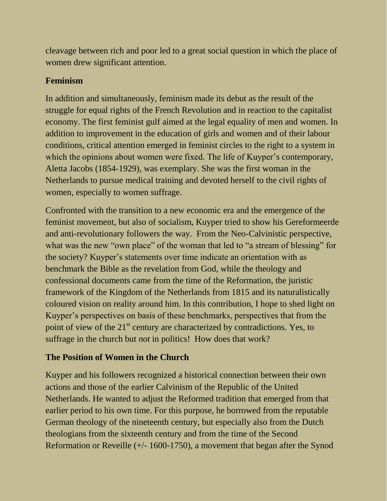cleavage between rich and poor led to a great social question in which the place of women drew significant attention.

### **Feminism**

In addition and simultaneously, feminism made its debut as the result of the struggle for equal rights of the French Revolution and in reaction to the capitalist economy. The first feminist gulf aimed at the legal equality of men and women. In addition to improvement in the education of girls and women and of their labour conditions, critical attention emerged in feminist circles to the right to a system in which the opinions about women were fixed. The life of Kuyper's contemporary, Aletta Jacobs (1854-1929), was exemplary. She was the first woman in the Netherlands to pursue medical training and devoted herself to the civil rights of women, especially to women suffrage.

Confronted with the transition to a new economic era and the emergence of the feminist movement, but also of socialism, Kuyper tried to show his Gereformeerde and anti-revolutionary followers the way. From the Neo-Calvinistic perspective, what was the new "own place" of the woman that led to "a stream of blessing" for the society? Kuyper's statements over time indicate an orientation with as benchmark the Bible as the revelation from God, while the theology and confessional documents came from the time of the Reformation, the juristic framework of the Kingdom of the Netherlands from 1815 and its naturalistically coloured vision on reality around him. In this contribution, I hope to shed light on Kuyper's perspectives on basis of these benchmarks, perspectives that from the point of view of the  $21<sup>st</sup>$  century are characterized by contradictions. Yes, to suffrage in the church but *not* in politics! How does that work?

# **The Position of Women in the Church**

Kuyper and his followers recognized a historical connection between their own actions and those of the earlier Calvinism of the Republic of the United Netherlands. He wanted to adjust the Reformed tradition that emerged from that earlier period to his own time. For this purpose, he borrowed from the reputable German theology of the nineteenth century, but especially also from the Dutch theologians from the sixteenth century and from the time of the Second Reformation or Reveille (+/- 1600-1750), a movement that began after the Synod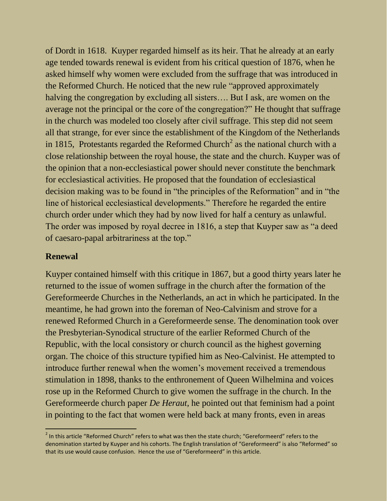of Dordt in 1618. Kuyper regarded himself as its heir. That he already at an early age tended towards renewal is evident from his critical question of 1876, when he asked himself why women were excluded from the suffrage that was introduced in the Reformed Church. He noticed that the new rule "approved approximately halving the congregation by excluding all sisters…. But I ask, are women on the average not the principal or the core of the congregation?" He thought that suffrage in the church was modeled too closely after civil suffrage. This step did not seem all that strange, for ever since the establishment of the Kingdom of the Netherlands in 1815, Protestants regarded the Reformed Church<sup>2</sup> as the national church with a close relationship between the royal house, the state and the church. Kuyper was of the opinion that a non-ecclesiastical power should never constitute the benchmark for ecclesiastical activities. He proposed that the foundation of ecclesiastical decision making was to be found in "the principles of the Reformation" and in "the line of historical ecclesiastical developments." Therefore he regarded the entire church order under which they had by now lived for half a century as unlawful. The order was imposed by royal decree in 1816, a step that Kuyper saw as "a deed of caesaro-papal arbitrariness at the top."

#### **Renewal**

 $\overline{a}$ 

Kuyper contained himself with this critique in 1867, but a good thirty years later he returned to the issue of women suffrage in the church after the formation of the Gereformeerde Churches in the Netherlands, an act in which he participated. In the meantime, he had grown into the foreman of Neo-Calvinism and strove for a renewed Reformed Church in a Gereformeerde sense. The denomination took over the Presbyterian-Synodical structure of the earlier Reformed Church of the Republic, with the local consistory or church council as the highest governing organ. The choice of this structure typified him as Neo-Calvinist. He attempted to introduce further renewal when the women's movement received a tremendous stimulation in 1898, thanks to the enthronement of Queen Wilhelmina and voices rose up in the Reformed Church to give women the suffrage in the church. In the Gereformeerde church paper *De Heraut,* he pointed out that feminism had a point in pointing to the fact that women were held back at many fronts, even in areas

 $^2$  In this article "Reformed Church" refers to what was then the state church; "Gereformeerd" refers to the denomination started by Kuyper and his cohorts. The English translation of "Gereformeerd" is also "Reformed" so that its use would cause confusion. Hence the use of "Gereformeerd" in this article.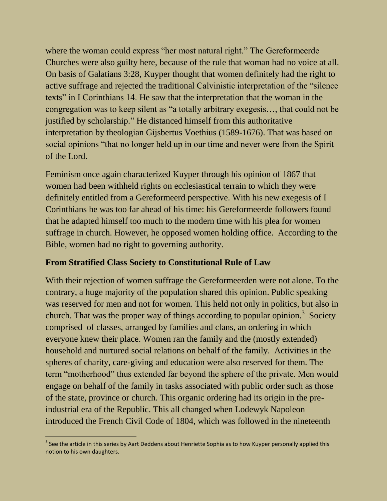where the woman could express "her most natural right." The Gereformeerde Churches were also guilty here, because of the rule that woman had no voice at all. On basis of Galatians 3:28, Kuyper thought that women definitely had the right to active suffrage and rejected the traditional Calvinistic interpretation of the "silence texts" in I Corinthians 14. He saw that the interpretation that the woman in the congregation was to keep silent as "a totally arbitrary exegesis…, that could not be justified by scholarship." He distanced himself from this authoritative interpretation by theologian Gijsbertus Voethius (1589-1676). That was based on social opinions "that no longer held up in our time and never were from the Spirit of the Lord.

Feminism once again characterized Kuyper through his opinion of 1867 that women had been withheld rights on ecclesiastical terrain to which they were definitely entitled from a Gereformeerd perspective. With his new exegesis of I Corinthians he was too far ahead of his time: his Gereformeerde followers found that he adapted himself too much to the modern time with his plea for women suffrage in church. However, he opposed women holding office. According to the Bible, women had no right to governing authority.

#### **From Stratified Class Society to Constitutional Rule of Law**

With their rejection of women suffrage the Gereformeerden were not alone. To the contrary, a huge majority of the population shared this opinion. Public speaking was reserved for men and not for women. This held not only in politics, but also in church. That was the proper way of things according to popular opinion.<sup>3</sup> Society comprised of classes, arranged by families and clans, an ordering in which everyone knew their place. Women ran the family and the (mostly extended) household and nurtured social relations on behalf of the family. Activities in the spheres of charity, care-giving and education were also reserved for them. The term "motherhood" thus extended far beyond the sphere of the private. Men would engage on behalf of the family in tasks associated with public order such as those of the state, province or church. This organic ordering had its origin in the preindustrial era of the Republic. This all changed when Lodewyk Napoleon introduced the French Civil Code of 1804, which was followed in the nineteenth

  $3$  See the article in this series by Aart Deddens about Henriette Sophia as to how Kuyper personally applied this notion to his own daughters.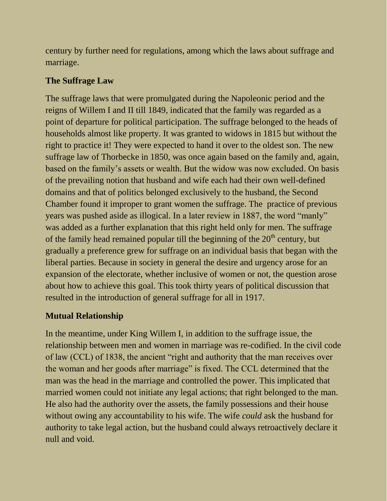century by further need for regulations, among which the laws about suffrage and marriage.

## **The Suffrage Law**

The suffrage laws that were promulgated during the Napoleonic period and the reigns of Willem I and II till 1849, indicated that the family was regarded as a point of departure for political participation. The suffrage belonged to the heads of households almost like property. It was granted to widows in 1815 but without the right to practice it! They were expected to hand it over to the oldest son. The new suffrage law of Thorbecke in 1850, was once again based on the family and, again, based on the family's assets or wealth. But the widow was now excluded. On basis of the prevailing notion that husband and wife each had their own well-defined domains and that of politics belonged exclusively to the husband, the Second Chamber found it improper to grant women the suffrage. The practice of previous years was pushed aside as illogical. In a later review in 1887, the word "manly" was added as a further explanation that this right held only for men. The suffrage of the family head remained popular till the beginning of the  $20<sup>th</sup>$  century, but gradually a preference grew for suffrage on an individual basis that began with the liberal parties. Because in society in general the desire and urgency arose for an expansion of the electorate, whether inclusive of women or not, the question arose about how to achieve this goal. This took thirty years of political discussion that resulted in the introduction of general suffrage for all in 1917.

# **Mutual Relationship**

In the meantime, under King Willem I, in addition to the suffrage issue, the relationship between men and women in marriage was re-codified. In the civil code of law (CCL) of 1838, the ancient "right and authority that the man receives over the woman and her goods after marriage" is fixed. The CCL determined that the man was the head in the marriage and controlled the power. This implicated that married women could not initiate any legal actions; that right belonged to the man. He also had the authority over the assets, the family possessions and their house without owing any accountability to his wife. The wife *could* ask the husband for authority to take legal action, but the husband could always retroactively declare it null and void.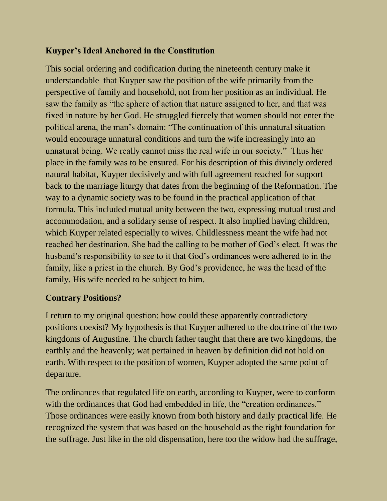### **Kuyper's Ideal Anchored in the Constitution**

This social ordering and codification during the nineteenth century make it understandable that Kuyper saw the position of the wife primarily from the perspective of family and household, not from her position as an individual. He saw the family as "the sphere of action that nature assigned to her, and that was fixed in nature by her God. He struggled fiercely that women should not enter the political arena, the man's domain: "The continuation of this unnatural situation would encourage unnatural conditions and turn the wife increasingly into an unnatural being. We really cannot miss the real wife in our society." Thus her place in the family was to be ensured. For his description of this divinely ordered natural habitat, Kuyper decisively and with full agreement reached for support back to the marriage liturgy that dates from the beginning of the Reformation. The way to a dynamic society was to be found in the practical application of that formula. This included mutual unity between the two, expressing mutual trust and accommodation, and a solidary sense of respect. It also implied having children, which Kuyper related especially to wives. Childlessness meant the wife had not reached her destination. She had the calling to be mother of God's elect. It was the husband's responsibility to see to it that God's ordinances were adhered to in the family, like a priest in the church. By God's providence, he was the head of the family. His wife needed to be subject to him.

### **Contrary Positions?**

I return to my original question: how could these apparently contradictory positions coexist? My hypothesis is that Kuyper adhered to the doctrine of the two kingdoms of Augustine. The church father taught that there are two kingdoms, the earthly and the heavenly; wat pertained in heaven by definition did not hold on earth. With respect to the position of women, Kuyper adopted the same point of departure.

The ordinances that regulated life on earth, according to Kuyper, were to conform with the ordinances that God had embedded in life, the "creation ordinances." Those ordinances were easily known from both history and daily practical life. He recognized the system that was based on the household as the right foundation for the suffrage. Just like in the old dispensation, here too the widow had the suffrage,